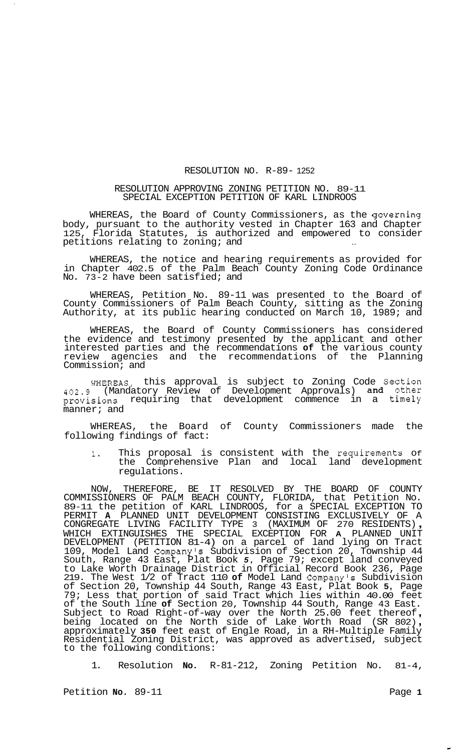## RESOLUTION NO. R-89- 1252

## RESOLUTION APPROVING ZONING PETITION NO. 89-11 SPECIAL EXCEPTION PETITION OF KARL LINDROOS

WHEREAS, the Board of County Commissioners, as the governing body, pursuant to the authority vested in Chapter 163 and Chapter 125, Florida Statutes, is authorized and empowered to consider petitions relating to zoning; and

WHEREAS, the notice and hearing requirements as provided for in Chapter 402.5 of the Palm Beach County Zoning Code Ordinance No. 73-2 have been satisfied; and

WHEREAS, Petition No. 89-11 was presented to the Board of County Commissioners of Palm Beach County, sitting as the Zoning Authority, at its public hearing conducted on March 10, 1989; and

WHEREAS, the Board of County Commissioners has considered the evidence and testimony presented by the applicant and other interested parties and the recommendations **of** the various county review agencies and the recommendations of the Planning Commission; and

WHEREAS, this approval is subject to Zoning Code Section 402.9 (Mandatory Review of Development Approvals) and other provisions requiring that development commence in a timely manner; and

WHEREAS, the Board of County Commissioners made the following findings of fact:

1. This proposal is consistent with the requirements Of the Comprehensive Plan and local land development regulations.

NOW, THEREFORE, BE IT RESOLVED BY THE BOARD OF COUNTY COMMISSIONERS OF PALM BEACH COUNTY, FLORIDA, that Petition No. 89-11 the petition of KARL LINDROOS, for a SPECIAL EXCEPTION TO PERMIT **A** PLANNED UNIT DEVELOPMENT CONSISTING EXCLUSIVELY OF A<br>CONGREGATE LIVING FACILITY TYPE 3 (MAXIMUM OF 270 RESIDENTS),<br>WHICH EXTINGUISHES THE SPECIAL EXCEPTION FOR **A** PLANNED UNIT DEVELOPMENT (PETITION 81-4) on a parcel of land lying on Tract 109, Model Land Company's Subdivision of Section 20, Township 44 South, Range 43 East, Plat Book *5,* Page 79; except land conveyed to Lake Worth Drainage District in Official Record Book 236, Page 219. The West 1/2 of Tract 110 **of** Model Land Company's Subdivision of Section 20, Township 44 South, Range 43 East, Plat Book **5,** Page 79; Less that portion of said Tract which lies within 40.00 feet of the South line **of** Section 20, Township 44 South, Range 43 East.<br>Subject to Road Right-of-way over the North 25.00 feet thereof,<br>being located on the North side of Lake Worth Road (SR 802), approximately **350** feet east of Engle Road, in a RH-Multiple Family Residential Zoning District, was approved as advertised, subject to the following conditions:

1. Resolution **No.** R-81-212, Zoning Petition No. 81-4,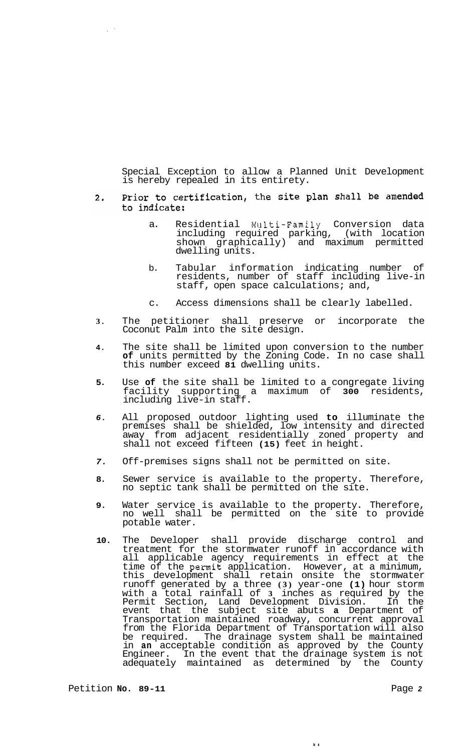Special Exception to allow a Planned Unit Development is hereby repealed in its entirety.

## Prior to certification, the site plan shall be amended  $2.$ to indicate:

- a. Residential Multi-Family Conversion data including required parking, (with location shown graphically) and maximum permitted dwelling units.
- b. Tabular information indicating number of residents, number of staff including live-in staff, open space calculations; and,
- c. Access dimensions shall be clearly labelled.
- **3.** The petitioner shall preserve or incorporate the Coconut Palm into the site design.
- **4.** The site shall be limited upon conversion to the number **of** units permitted by the Zoning Code. In no case shall this number exceed **81** dwelling units.
- **5.** Use **of** the site shall be limited to a congregate living facility supporting a maximum of **300** residents, including live-in staff.
- *6.* All proposed outdoor lighting used **to** illuminate the premises shall be shielded, low intensity and directed away from adjacent residentially zoned property and shall not exceed fifteen **(15)** feet in height.
- *7.* Off-premises signs shall not be permitted on site.
- **8.** Sewer service is available to the property. Therefore, no septic tank shall be permitted on the site.
- **9.** Water service is available to the property. Therefore, no well shall be permitted on the site to provide potable water.
- **10.** The Developer shall provide discharge control and treatment for the stormwater runoff in accordance with all applicable agency requirements in effect at the time of the permit application. However, at a minimum, this development shall retain onsite the stormwater runoff generated by a three **(3)** year-one **(1)** hour storm with a total rainfall of **3** inches as required by the Permit Section, Land Development Division. In the event that the subject site abuts **a** Department of Transportation maintained roadway, concurrent approval from the Florida Department of Transportation will also be required. The drainage system shall be maintained in **an** acceptable condition as approved by the County Engineer. In the event that the drainage system is not adequately maintained as determined by the County

 $\lambda +$ 

 $\tilde{\psi}^{(0)}$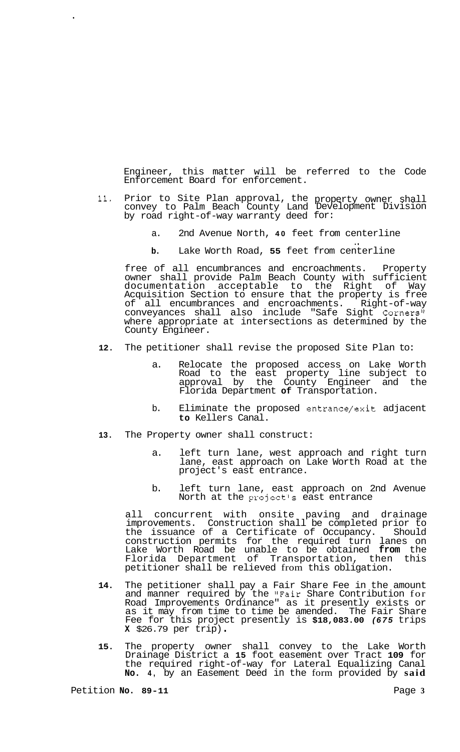Engineer, this matter will be referred to the Code Enforcement Board for enforcement.

- **11.** Prior to Site Plan approval, the property owner shall convey to Palm Beach County Land Development Division by road right-of-way warranty deed for:
	- a. 2nd Avenue North, **40** feet from centerline
	- **b.** Lake Worth Road, **55** feet from centerline ..

free of all encumbrances and encroachments. Property owner shall provide Palm Beach County with sufficient documentation acceptable to the Right of Way Acquisition Section to ensure that the property is free of all encumbrances and encroachments. Right-of-way conveyances shall also include "Safe Sight Corners" where appropriate at intersections as determined by the County Engineer.

- **12.** The petitioner shall revise the proposed Site Plan to:
	- a. Relocate the proposed access on Lake Worth Road to the east property line subject to approval by the County Engineer and the Florida Department **of** Transportation.
	- b. Eliminate the proposed entrance/exit adjacent **to** Kellers Canal.
- **13.** The Property owner shall construct:
	- a. left turn lane, west approach and right turn lane, east approach on Lake Worth Road at the project's east entrance.
	- b. left turn lane, east approach on 2nd Avenue North at the project's east entrance

all concurrent with onsite paving and drainage improvements. Construction shall be completed prior to the issuance of a Certificate of Occupancy. Should construction permits for the required turn lanes on Lake Worth Road be unable to be obtained **from** the Florida Department of Transportation, then this petitioner shall be relieved from this obligation.

- **14.** The petitioner shall pay a Fair Share Fee in the amount and manner required by the "Fair Share Contribution for Road Improvements Ordinance" as it presently exists or as it may from time to time be amended. The Fair Share Fee for this project presently is **\$18,083.00** *(675* trips **<sup>X</sup>**\$26.79 per trip) .
- **15.** The property owner shall convey to the Lake Worth Drainage District a **15** foot easement over Tract **109** for the required right-of-way for Lateral Equalizing Canal **No. 4,** by an Easement Deed in the form provided by **said**